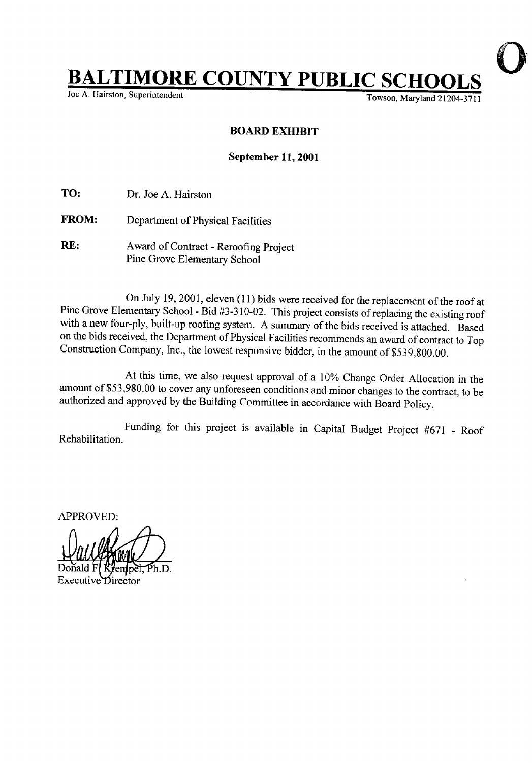## **BALTIMORE COUNTY PUBLIC SC**<br>Joe A. Hairston, Superintendent

Towson, Maryland 21204-3711

## BOARD EXHIBIT

## September 11, 2001

TO: Dr. Joe A. Hairston

- FROM: Department of Physical Facilities
- RE: Award of Contract Reroofing Project Pine Grove Elementary School

On July 19, 2001, eleven (11) bids were received for the replacement of the roof at Pine Grove Elementary School - Bid #3-310-02 . This project consists of replacing the existing roof with a new four-ply, built-up roofing system. A summary of the bids received is attached. Based on the bids received, the Department of Physical facilities recommends an award of contract to Top Construction Company, Inc., the lowest responsive bidder, in the amount of \$539,800 .00.

At this time, we also request approval of <sup>a</sup> 10% Change Order Allocation in the amount of \$53,980.00 to cover any unforeseen conditions and minor changes to the contract, to be authorized and approved by the Building Committee in accordance with Board Policy.

Rehabilitation. Funding for this project is available in Capital Budget Project #671 - Roof

APPROVED:

Donald F(KJempe<del>l,</del> Ph.D. Executive Director